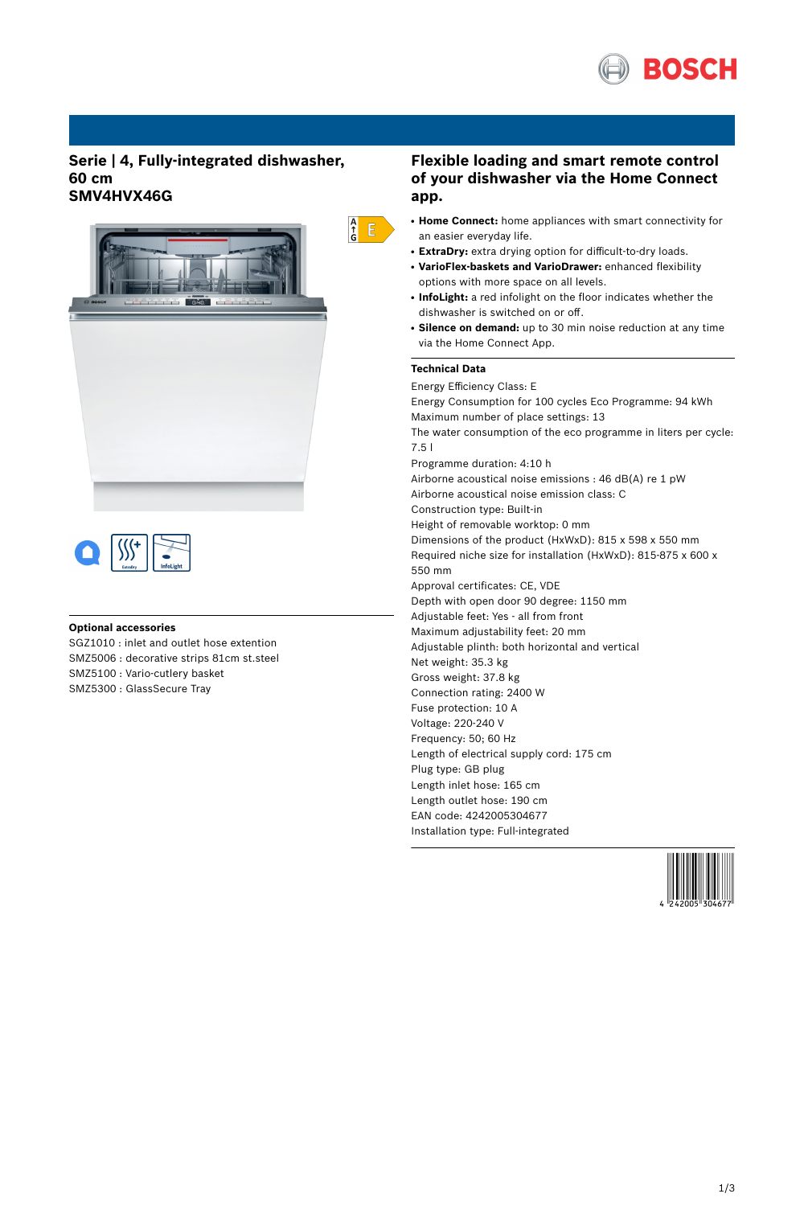

## **Serie | 4, Fully-integrated dishwasher, 60 cm SMV4HVX46G**





### **Optional accessories**

SGZ1010 : inlet and outlet hose extention SMZ5006 : decorative strips 81cm st.steel SMZ5100 : Vario-cutlery basket SMZ5300 : GlassSecure Tray

## **Flexible loading and smart remote control of your dishwasher via the Home Connect app.**

- **Home Connect:** home appliances with smart connectivity for an easier everyday life.
- ExtraDry: extra drying option for difficult-to-dry loads.
- **VarioFlex-baskets and VarioDrawer:** enhanced flexibility options with more space on all levels.
- InfoLight: a red infolight on the floor indicates whether the dishwasher is switched on or off.
- **Silence on demand:** up to 30 min noise reduction at any time via the Home Connect App.

#### **Technical Data**

 $\begin{array}{c} A \\ \uparrow \\ G \end{array}$ 

Energy Efficiency Class: E Energy Consumption for 100 cycles Eco Programme: 94 kWh Maximum number of place settings: 13 The water consumption of the eco programme in liters per cycle: 7.5 l Programme duration: 4:10 h Airborne acoustical noise emissions : 46 dB(A) re 1 pW Airborne acoustical noise emission class: C Construction type: Built-in Height of removable worktop: 0 mm Dimensions of the product (HxWxD): 815 x 598 x 550 mm Required niche size for installation (HxWxD): 815-875 x 600 x 550 mm Approval certificates: CE, VDE Depth with open door 90 degree: 1150 mm Adjustable feet: Yes - all from front Maximum adjustability feet: 20 mm Adjustable plinth: both horizontal and vertical Net weight: 35.3 kg Gross weight: 37.8 kg Connection rating: 2400 W Fuse protection: 10 A Voltage: 220-240 V Frequency: 50; 60 Hz Length of electrical supply cord: 175 cm Plug type: GB plug Length inlet hose: 165 cm Length outlet hose: 190 cm EAN code: 4242005304677 Installation type: Full-integrated

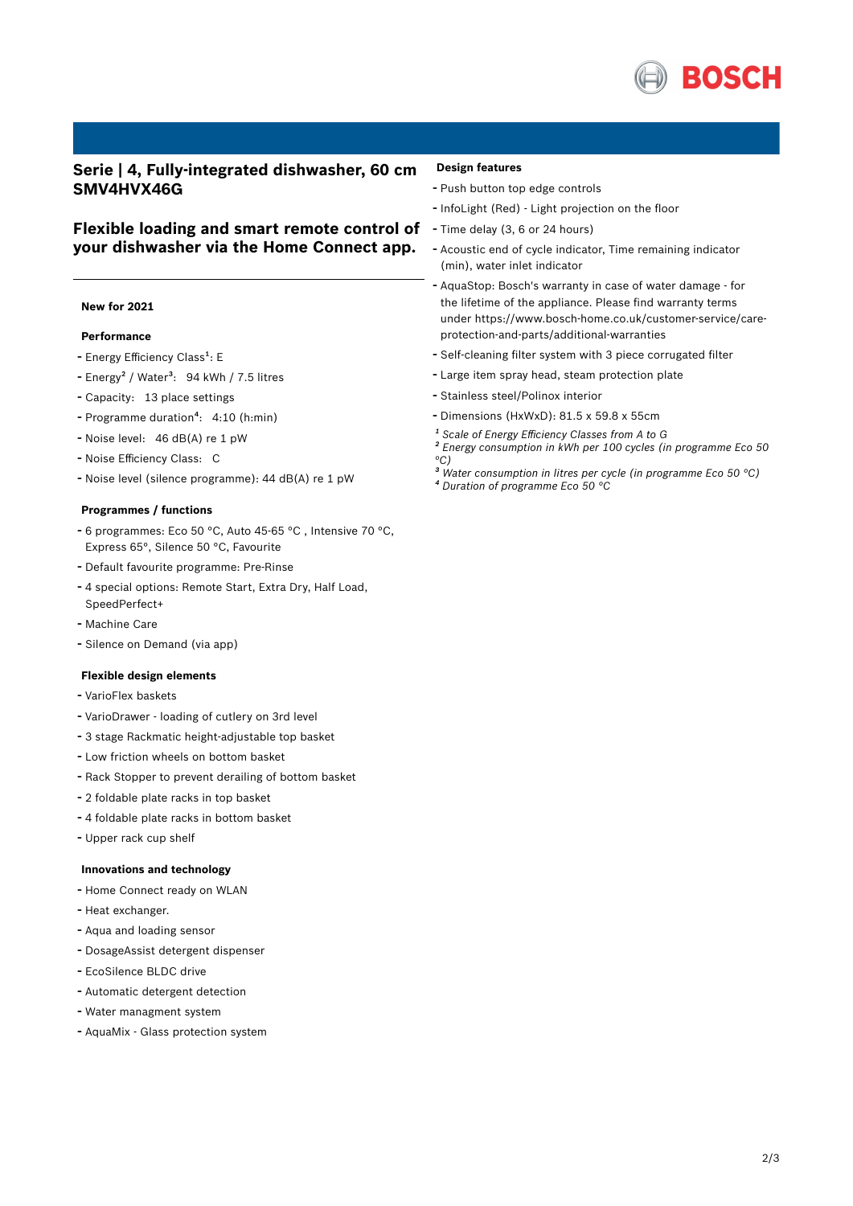

## **Serie | 4, Fully-integrated dishwasher, 60 cm SMV4HVX46G**

# **Flexible loading and smart remote control of your dishwasher via the Home Connect app.**

### **New for 2021**

#### **Performance**

- Energy Efficiency Class<sup>1</sup>: E
- Energy<sup>2</sup> / Water<sup>3</sup>: 94 kWh / 7.5 litres
- Capacity: <sup>13</sup> place settings
- Programme duration<sup>4</sup>: 4:10 (h:min)
- Noise level: <sup>46</sup> dB(A) re <sup>1</sup> pW
- Noise Efficiency Class: <sup>C</sup>
- Noise level (silence programme): <sup>44</sup> dB(A) re <sup>1</sup> pW

#### **Programmes / functions**

- <sup>6</sup> programmes: Eco <sup>50</sup> °C, Auto 45-65 °C , Intensive <sup>70</sup> °C, Express 65°, Silence 50 °C, Favourite
- Default favourite programme: Pre-Rinse
- <sup>4</sup> special options: Remote Start, Extra Dry, Half Load,
- SpeedPerfect+
- Machine Care
- Silence on Demand (via app)

#### **Flexible design elements**

- VarioFlex baskets
- VarioDrawer loading of cutlery on 3rd level
- <sup>3</sup> stage Rackmatic height-adjustable top basket
- Low friction wheels on bottom basket
- Rack Stopper to prevent derailing of bottom basket
- <sup>2</sup> foldable plate racks in top basket
- <sup>4</sup> foldable plate racks in bottom basket
- Upper rack cup shelf

### **Innovations and technology**

- Home Connect ready on WLAN
- Heat exchanger.
- Aqua and loading sensor
- DosageAssist detergent dispenser
- EcoSilence BLDC drive
- Automatic detergent detection
- Water managment system
- AquaMix Glass protection system

#### **Design features**

- Push button top edge controls
- InfoLight (Red) Light projection on the floor
- Time delay (3, <sup>6</sup> or <sup>24</sup> hours)
- Acoustic end of cycle indicator, Time remaining indicator (min), water inlet indicator
- AquaStop: Bosch's warranty in case of water damage for the lifetime of the appliance. Please find warranty terms under https://www.bosch-home.co.uk/customer-service/careprotection-and-parts/additional-warranties
- Self-cleaning filter system with <sup>3</sup> piece corrugated filter
- Large item spray head, steam protection plate
- Stainless steel/Polinox interior
- Dimensions (HxWxD): 81.5 x 59.8 x 55cm
- *¹ Scale of Energy Efficiency Classes from A to G*
- *² Energy consumption in kWh per 100 cycles (in programme Eco 50 °C)*
- *³ Water consumption in litres per cycle (in programme Eco 50 °C)*
- *⁴ Duration of programme Eco 50 °C*